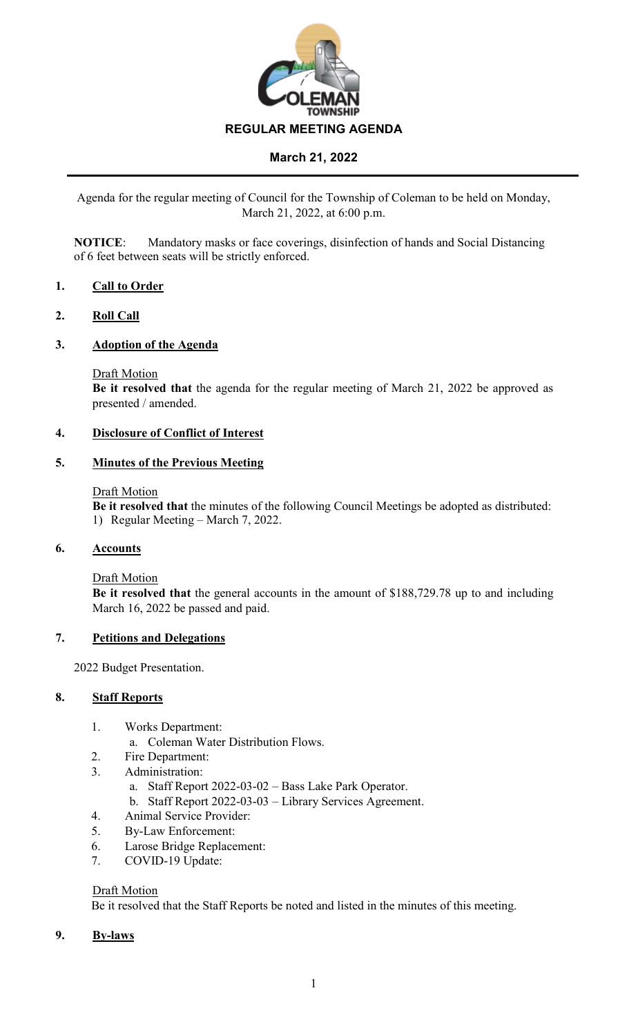

Agenda for the regular meeting of Council for the Township of Coleman to be held on Monday, March 21, 2022, at 6:00 p.m.

**NOTICE**: Mandatory masks or face coverings, disinfection of hands and Social Distancing of 6 feet between seats will be strictly enforced.

### **1. Call to Order**

### **2. Roll Call**

### **3. Adoption of the Agenda**

Draft Motion

**Be it resolved that** the agenda for the regular meeting of March 21, 2022 be approved as presented / amended.

# **4. Disclosure of Conflict of Interest**

#### **5. Minutes of the Previous Meeting**

#### Draft Motion

**Be it resolved that** the minutes of the following Council Meetings be adopted as distributed: 1) Regular Meeting – March 7, 2022.

#### **6. Accounts**

Draft Motion

**Be it resolved that** the general accounts in the amount of \$188,729.78 up to and including March 16, 2022 be passed and paid.

#### **7. Petitions and Delegations**

2022 Budget Presentation.

#### **8. Staff Reports**

- 1. Works Department:
	- a. Coleman Water Distribution Flows.
- 2. Fire Department:
- 3. Administration:
	- a. Staff Report 2022-03-02 Bass Lake Park Operator.
	- b. Staff Report 2022-03-03 Library Services Agreement.
- 4. Animal Service Provider:
- 5. By-Law Enforcement:
- 6. Larose Bridge Replacement:
- 7. COVID-19 Update:

#### Draft Motion

Be it resolved that the Staff Reports be noted and listed in the minutes of this meeting.

**9. By-laws**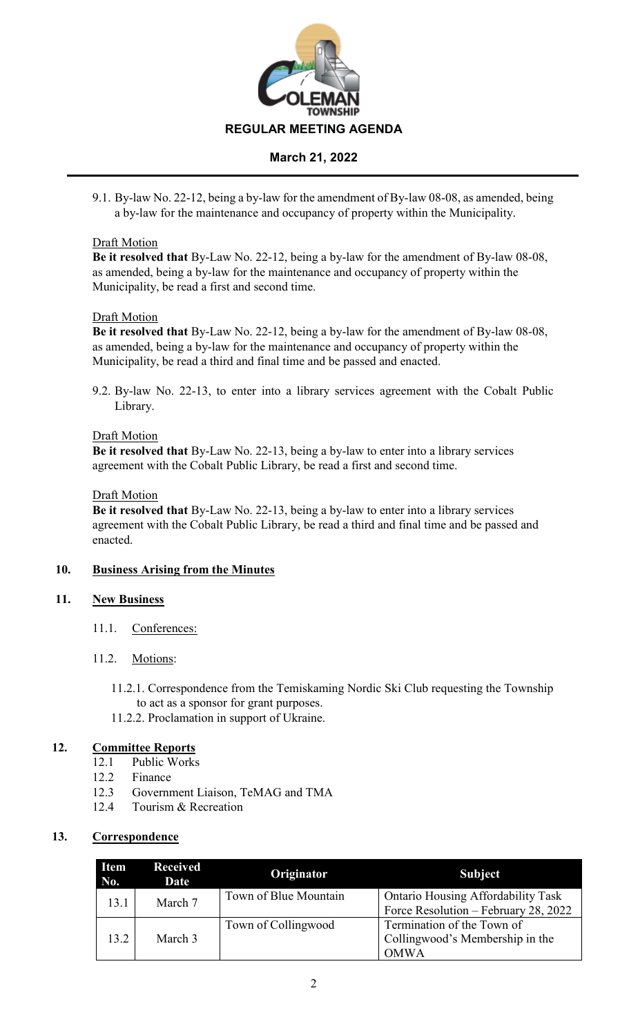

9.1. By-law No. 22-12, being a by-law for the amendment of By-law 08-08, as amended, being a by-law for the maintenance and occupancy of property within the Municipality.

### Draft Motion

**Be it resolved that** By-Law No. 22-12, being a by-law for the amendment of By-law 08-08, as amended, being a by-law for the maintenance and occupancy of property within the Municipality, be read a first and second time.

### Draft Motion

**Be it resolved that** By-Law No. 22-12, being a by-law for the amendment of By-law 08-08, as amended, being a by-law for the maintenance and occupancy of property within the Municipality, be read a third and final time and be passed and enacted.

9.2. By-law No. 22-13, to enter into a library services agreement with the Cobalt Public Library.

### Draft Motion

**Be it resolved that** By-Law No. 22-13, being a by-law to enter into a library services agreement with the Cobalt Public Library, be read a first and second time.

#### Draft Motion

**Be it resolved that** By-Law No. 22-13, being a by-law to enter into a library services agreement with the Cobalt Public Library, be read a third and final time and be passed and enacted.

### **10. Business Arising from the Minutes**

### **11. New Business**

11.1. Conferences:

### 11.2. Motions:

- 11.2.1. Correspondence from the Temiskaming Nordic Ski Club requesting the Township to act as a sponsor for grant purposes.
- 11.2.2. Proclamation in support of Ukraine.

### **12. Committee Reports**

- 12.1 Public Works
- 12.2 Finance
- 12.3 Government Liaison, TeMAG and TMA
- 12.4 Tourism & Recreation

## **13. Correspondence**

| <b>Item</b><br>No. | <b>Received</b><br>Date | Originator            | <b>Subject</b>                                                                    |
|--------------------|-------------------------|-----------------------|-----------------------------------------------------------------------------------|
| 13.1               | March 7                 | Town of Blue Mountain | <b>Ontario Housing Affordability Task</b><br>Force Resolution - February 28, 2022 |
| 13.2               | March 3                 | Town of Collingwood   | Termination of the Town of<br>Collingwood's Membership in the<br><b>OMWA</b>      |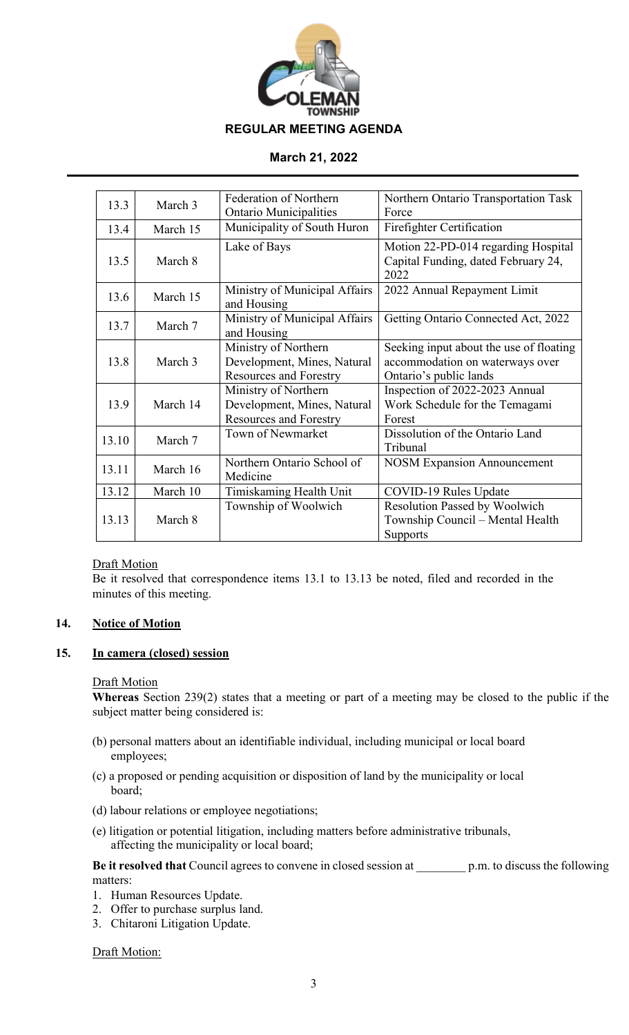

| 13.3  | March 3  | <b>Federation of Northern</b> | Northern Ontario Transportation Task    |  |
|-------|----------|-------------------------------|-----------------------------------------|--|
|       |          | <b>Ontario Municipalities</b> | Force                                   |  |
| 13.4  | March 15 | Municipality of South Huron   | Firefighter Certification               |  |
| 13.5  | March 8  | Lake of Bays                  | Motion 22-PD-014 regarding Hospital     |  |
|       |          |                               | Capital Funding, dated February 24,     |  |
|       |          |                               | 2022                                    |  |
| 13.6  | March 15 | Ministry of Municipal Affairs | 2022 Annual Repayment Limit             |  |
|       |          | and Housing                   |                                         |  |
| 13.7  | March 7  | Ministry of Municipal Affairs | Getting Ontario Connected Act, 2022     |  |
|       |          | and Housing                   |                                         |  |
|       |          | Ministry of Northern          | Seeking input about the use of floating |  |
| 13.8  | March 3  | Development, Mines, Natural   | accommodation on waterways over         |  |
|       |          | <b>Resources and Forestry</b> | Ontario's public lands                  |  |
|       |          | Ministry of Northern          | Inspection of 2022-2023 Annual          |  |
| 13.9  | March 14 | Development, Mines, Natural   | Work Schedule for the Temagami          |  |
|       |          | Resources and Forestry        | Forest                                  |  |
| 13.10 | March 7  | Town of Newmarket             | Dissolution of the Ontario Land         |  |
|       |          |                               | Tribunal                                |  |
| 13.11 | March 16 | Northern Ontario School of    | <b>NOSM Expansion Announcement</b>      |  |
|       |          | Medicine                      |                                         |  |
| 13.12 | March 10 | Timiskaming Health Unit       | COVID-19 Rules Update                   |  |
|       |          | Township of Woolwich          | Resolution Passed by Woolwich           |  |
| 13.13 | March 8  |                               | Township Council – Mental Health        |  |
|       |          |                               | Supports                                |  |

### Draft Motion

Be it resolved that correspondence items 13.1 to 13.13 be noted, filed and recorded in the minutes of this meeting.

# **14. Notice of Motion**

### **15. In camera (closed) session**

#### Draft Motion

**Whereas** Section 239(2) states that a meeting or part of a meeting may be closed to the public if the subject matter being considered is:

- (b) personal matters about an identifiable individual, including municipal or local board employees;
- (c) a proposed or pending acquisition or disposition of land by the municipality or local board;
- (d) labour relations or employee negotiations;
- (e) litigation or potential litigation, including matters before administrative tribunals, affecting the municipality or local board;

**Be it resolved that** Council agrees to convene in closed session at p.m. to discuss the following matters:

- 1. Human Resources Update.
- 2. Offer to purchase surplus land.
- 3. Chitaroni Litigation Update.

Draft Motion: